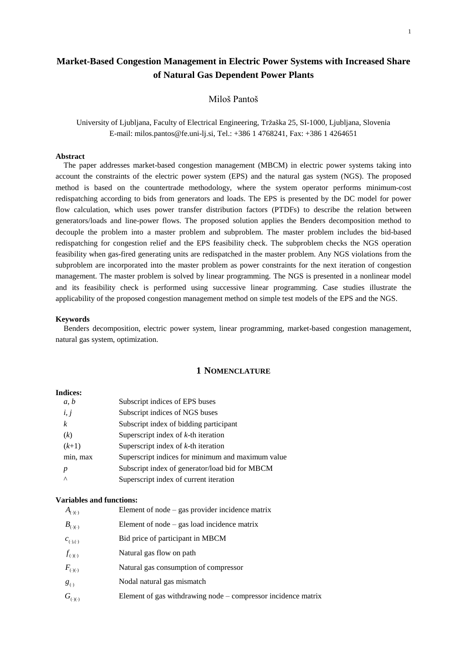# **Market-Based Congestion Management in Electric Power Systems with Increased Share of Natural Gas Dependent Power Plants**

## Miloš Pantoš

University of Ljubljana, Faculty of Electrical Engineering, Tržaška 25, SI-1000, Ljubljana, Slovenia E-mail: milos.pantos@fe.uni-lj.si, Tel.: +386 1 4768241, Fax: +386 1 4264651

#### **Abstract**

The paper addresses market-based congestion management (MBCM) in electric power systems taking into account the constraints of the electric power system (EPS) and the natural gas system (NGS). The proposed method is based on the countertrade methodology, where the system operator performs minimum-cost redispatching according to bids from generators and loads. The EPS is presented by the DC model for power flow calculation, which uses power transfer distribution factors (PTDFs) to describe the relation between generators/loads and line-power flows. The proposed solution applies the Benders decomposition method to decouple the problem into a master problem and subproblem. The master problem includes the bid-based redispatching for congestion relief and the EPS feasibility check. The subproblem checks the NGS operation feasibility when gas-fired generating units are redispatched in the master problem. Any NGS violations from the subproblem are incorporated into the master problem as power constraints for the next iteration of congestion management. The master problem is solved by linear programming. The NGS is presented in a nonlinear model and its feasibility check is performed using successive linear programming. Case studies illustrate the applicability of the proposed congestion management method on simple test models of the EPS and the NGS.

#### **Keywords**

Benders decomposition, electric power system, linear programming, market-based congestion management, natural gas system, optimization.

## **1 NOMENCLATURE**

#### **Indices:**

| a, b             | Subscript indices of EPS buses                    |
|------------------|---------------------------------------------------|
| i, j             | Subscript indices of NGS buses                    |
| $\boldsymbol{k}$ | Subscript index of bidding participant            |
| (k)              | Superscript index of $k$ -th iteration            |
| $(k+1)$          | Superscript index of $k$ -th iteration            |
| min, max         | Superscript indices for minimum and maximum value |
| $\boldsymbol{p}$ | Subscript index of generator/load bid for MBCM    |
| $\wedge$         | Superscript index of current iteration            |

#### **Variables and functions:**

| $A_{(\cdot)(\cdot)}$                    | Element of node $-$ gas provider incidence matrix             |
|-----------------------------------------|---------------------------------------------------------------|
| $B_{(\cdot)(\cdot)}$                    | Element of node $-$ gas load incidence matrix                 |
| $c_{(\cdot),(\cdot)}$                   | Bid price of participant in MBCM                              |
| $f_{(\cdot)(\cdot)}$                    | Natural gas flow on path                                      |
| $F_{(\cdot)(\cdot)}$                    | Natural gas consumption of compressor                         |
| $g_{\left(\cdot\right)}$                | Nodal natural gas mismatch                                    |
| $G_{\scriptscriptstyle (\cdot)(\cdot)}$ | Element of gas withdrawing node – compressor incidence matrix |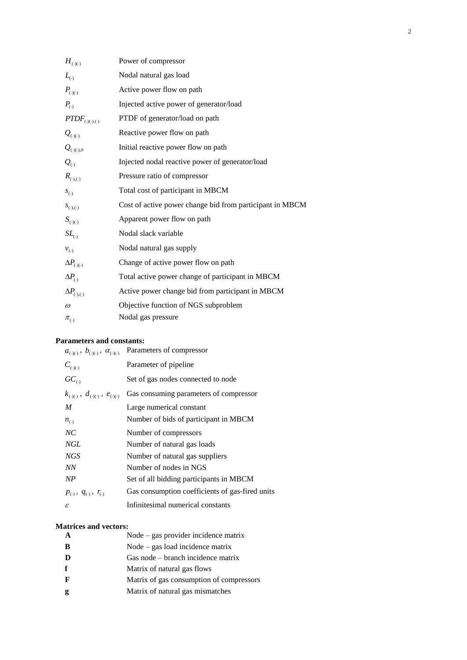| $H_{\scriptscriptstyle (\cdot)(\cdot)}$           | Power of compressor                                      |
|---------------------------------------------------|----------------------------------------------------------|
| $L_{\odot}$                                       | Nodal natural gas load                                   |
| $P_{(\cdot)(\cdot)}$                              | Active power flow on path                                |
| $P_{\scriptscriptstyle(\cdot)}$                   | Injected active power of generator/load                  |
| $PTDF_{(\cdot)(\cdot).(\cdot)}$                   | PTDF of generator/load on path                           |
| $Q_{\scriptscriptstyle (\cdot)(\cdot)}$           | Reactive power flow on path                              |
| $Q_{\scriptscriptstyle(\cdot)(\cdot),0}$          | Initial reactive power flow on path                      |
| $Q_{\scriptscriptstyle(\cdot)}$                   | Injected nodal reactive power of generator/load          |
| $R_{\left(\cdot\right),\left(\cdot\right)}$       | Pressure ratio of compressor                             |
| $S_{(.)}$                                         | Total cost of participant in MBCM                        |
| $S_{(\cdot),(\cdot)}$                             | Cost of active power change bid from participant in MBCM |
| $S_{(\cdot)(\cdot)}$                              | Apparent power flow on path                              |
| $SL_{(.)}$                                        | Nodal slack variable                                     |
| $v_{(.)}$                                         | Nodal natural gas supply                                 |
| $\Delta P_{\left(\cdot\right)\left(\cdot\right)}$ | Change of active power flow on path                      |
| $\Delta P_{\scriptscriptstyle (\cdot)}$           | Total active power change of participant in MBCM         |
| $\Delta P_{(\cdot),(\cdot)}$                      | Active power change bid from participant in MBCM         |
| $\omega$                                          | Objective function of NGS subproblem                     |
| $\pi_{(\cdot)}$                                   | Nodal gas pressure                                       |

## **Parameters and constants:**

| $a_{(.)(.)}, b_{(.)(.)}, \alpha_{(.)(.)}$  | Parameters of compressor                        |
|--------------------------------------------|-------------------------------------------------|
| $C_{(.)(.)}$                               | Parameter of pipeline                           |
| $GC_{(.)}$                                 | Set of gas nodes connected to node              |
| $k_{(.)(.)}$ , $d_{(.)(.)}$ , $e_{(.)(.)}$ | Gas consuming parameters of compressor          |
| M                                          | Large numerical constant                        |
| $n_{\scriptscriptstyle(\cdot)}$            | Number of bids of participant in MBCM           |
| NC                                         | Number of compressors                           |
| NGL                                        | Number of natural gas loads                     |
| NGS                                        | Number of natural gas suppliers                 |
| NN                                         | Number of nodes in NGS                          |
| NP                                         | Set of all bidding participants in MBCM         |
| $p_{(1)}$ , $q_{(1)}$ , $r_{(1)}$          | Gas consumption coefficients of gas-fired units |
| $\mathcal{E}$                              | Infinitesimal numerical constants               |

## **Matrices and vectors:**

| $\mathbf{A}$ | Node $-$ gas provider incidence matrix   |
|--------------|------------------------------------------|
| B            | $Node - gas load incidence matrix$       |
| D            | Gas node – branch incidence matrix       |
| f            | Matrix of natural gas flows              |
| F            | Matrix of gas consumption of compressors |
| g            | Matrix of natural gas mismatches         |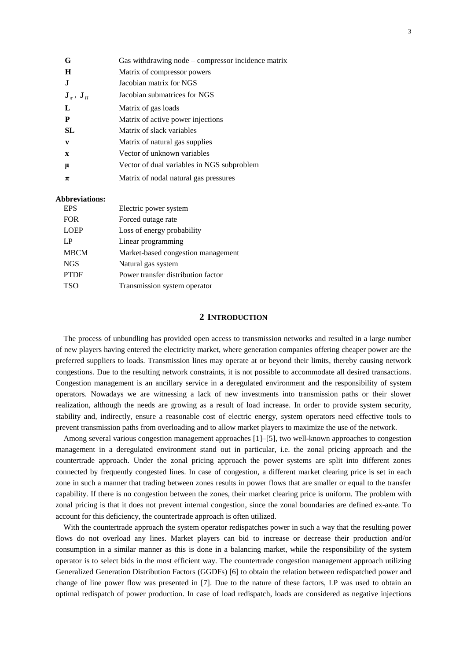| G                                     | Gas withdrawing node – compressor incidence matrix |
|---------------------------------------|----------------------------------------------------|
| H                                     | Matrix of compressor powers                        |
| J.                                    | Jacobian matrix for NGS                            |
| $\mathbf{J}_{\pi}$ , $\mathbf{J}_{H}$ | Jacobian submatrices for NGS                       |
| L                                     | Matrix of gas loads                                |
| P                                     | Matrix of active power injections                  |
| <b>SL</b>                             | Matrix of slack variables                          |
| $\mathbf{v}$                          | Matrix of natural gas supplies                     |
| $\mathbf{x}$                          | Vector of unknown variables                        |
| μ                                     | Vector of dual variables in NGS subproblem         |
| π                                     | Matrix of nodal natural gas pressures              |
|                                       |                                                    |

#### **Abbreviations:**

| <b>EPS</b>  | Electric power system              |
|-------------|------------------------------------|
| <b>FOR</b>  | Forced outage rate                 |
| <b>LOEP</b> | Loss of energy probability         |
| LP          | Linear programming                 |
| <b>MBCM</b> | Market-based congestion management |
| <b>NGS</b>  | Natural gas system                 |
| <b>PTDF</b> | Power transfer distribution factor |
| <b>TSO</b>  | Transmission system operator       |

## **2 INTRODUCTION**

The process of unbundling has provided open access to transmission networks and resulted in a large number of new players having entered the electricity market, where generation companies offering cheaper power are the preferred suppliers to loads. Transmission lines may operate at or beyond their limits, thereby causing network congestions. Due to the resulting network constraints, it is not possible to accommodate all desired transactions. Congestion management is an ancillary service in a deregulated environment and the responsibility of system operators. Nowadays we are witnessing a lack of new investments into transmission paths or their slower realization, although the needs are growing as a result of load increase. In order to provide system security, stability and, indirectly, ensure a reasonable cost of electric energy, system operators need effective tools to prevent transmission paths from overloading and to allow market players to maximize the use of the network.

Among several various congestion management approaches [\[1\]](#page-14-0)[–\[5\],](#page-14-1) two well-known approaches to congestion management in a deregulated environment stand out in particular, i.e. the zonal pricing approach and the countertrade approach. Under the zonal pricing approach the power systems are split into different zones connected by frequently congested lines. In case of congestion, a different market clearing price is set in each zone in such a manner that trading between zones results in power flows that are smaller or equal to the transfer capability. If there is no congestion between the zones, their market clearing price is uniform. The problem with zonal pricing is that it does not prevent internal congestion, since the zonal boundaries are defined ex-ante. To account for this deficiency, the countertrade approach is often utilized.

With the countertrade approach the system operator redispatches power in such a way that the resulting power flows do not overload any lines. Market players can bid to increase or decrease their production and/or consumption in a similar manner as this is done in a balancing market, while the responsibility of the system operator is to select bids in the most efficient way. The countertrade congestion management approach utilizing Generalized Generation Distribution Factors (GGDFs) [\[6\]](#page-14-2) to obtain the relation between redispatched power and change of line power flow was presented in [\[7\].](#page-14-3) Due to the nature of these factors, LP was used to obtain an optimal redispatch of power production. In case of load redispatch, loads are considered as negative injections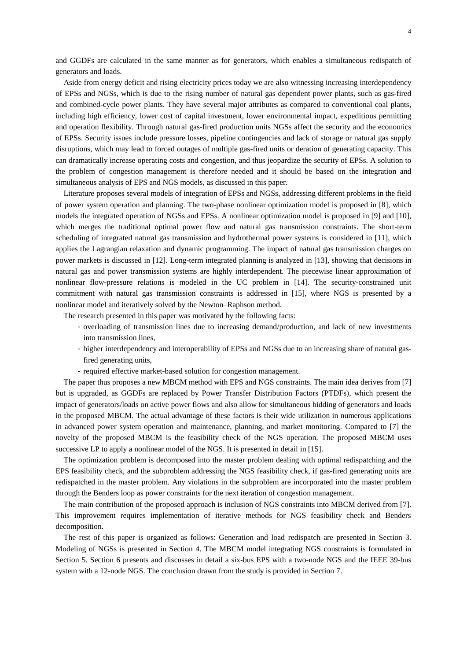and GGDFs are calculated in the same manner as for generators, which enables a simultaneous redispatch of generators and loads.

Aside from energy deficit and rising electricity prices today we are also witnessing increasing interdependency of EPSs and NGSs, which is due to the rising number of natural gas dependent power plants, such as gas-fired and combined-cycle power plants. They have several major attributes as compared to conventional coal plants, including high efficiency, lower cost of capital investment, lower environmental impact, expeditious permitting and operation flexibility. Through natural gas-fired production units NGSs affect the security and the economics of EPSs. Security issues include pressure losses, pipeline contingencies and lack of storage or natural gas supply disruptions, which may lead to forced outages of multiple gas-fired units or deration of generating capacity. This can dramatically increase operating costs and congestion, and thus jeopardize the security of EPSs. A solution to the problem of congestion management is therefore needed and it should be based on the integration and simultaneous analysis of EPS and NGS models, as discussed in this paper.

Literature proposes several models of integration of EPSs and NGSs, addressing different problems in the field of power system operation and planning. The two-phase nonlinear optimization model is proposed in [\[8\],](#page-14-4) which models the integrated operation of NGSs and EPSs. A nonlinear optimization model is proposed in [\[9\]](#page-14-5) and [\[10\],](#page-14-6) which merges the traditional optimal power flow and natural gas transmission constraints. The short-term scheduling of integrated natural gas transmission and hydrothermal power systems is considered in [\[11\],](#page-14-7) which applies the Lagrangian relaxation and dynamic programming. The impact of natural gas transmission charges on power markets is discussed in [\[12\].](#page-14-8) Long-term integrated planning is analyzed in [\[13\],](#page-14-9) showing that decisions in natural gas and power transmission systems are highly interdependent. The piecewise linear approximation of nonlinear flow-pressure relations is modeled in the UC problem in [\[14\].](#page-14-10) The security-constrained unit commitment with natural gas transmission constraints is addressed in [\[15\],](#page-14-11) where NGS is presented by a nonlinear model and iteratively solved by the Newton–Raphson method.

The research presented in this paper was motivated by the following facts:

- overloading of transmission lines due to increasing demand/production, and lack of new investments into transmission lines,
- higher interdependency and interoperability of EPSs and NGSs due to an increasing share of natural gasfired generating units,
- required effective market-based solution for congestion management.

The paper thus proposes a new MBCM method with EPS and NGS constraints. The main idea derives fro[m \[7\]](#page-14-3) but is upgraded, as GGDFs are replaced by Power Transfer Distribution Factors (PTDFs), which present the impact of generators/loads on active power flows and also allow for simultaneous bidding of generators and loads in the proposed MBCM. The actual advantage of these factors is their wide utilization in numerous applications in advanced power system operation and maintenance, planning, and market monitoring. Compared to [\[7\]](#page-14-3) the novelty of the proposed MBCM is the feasibility check of the NGS operation. The proposed MBCM uses successive LP to apply a nonlinear model of the NGS. It is presented in detail in [\[15\].](#page-14-11)

The optimization problem is decomposed into the master problem dealing with optimal redispatching and the EPS feasibility check, and the subproblem addressing the NGS feasibility check, if gas-fired generating units are redispatched in the master problem. Any violations in the subproblem are incorporated into the master problem through the Benders loop as power constraints for the next iteration of congestion management.

The main contribution of the proposed approach is inclusion of NGS constraints into MBCM derived from [\[7\].](#page-14-3) This improvement requires implementation of iterative methods for NGS feasibility check and Benders decomposition.

The rest of this paper is organized as follows: Generation and load redispatch are presented in Section 3. Modeling of NGSs is presented in Section 4. The MBCM model integrating NGS constraints is formulated in Section 5. Section 6 presents and discusses in detail a six-bus EPS with a two-node NGS and the IEEE 39-bus system with a 12-node NGS. The conclusion drawn from the study is provided in Section 7.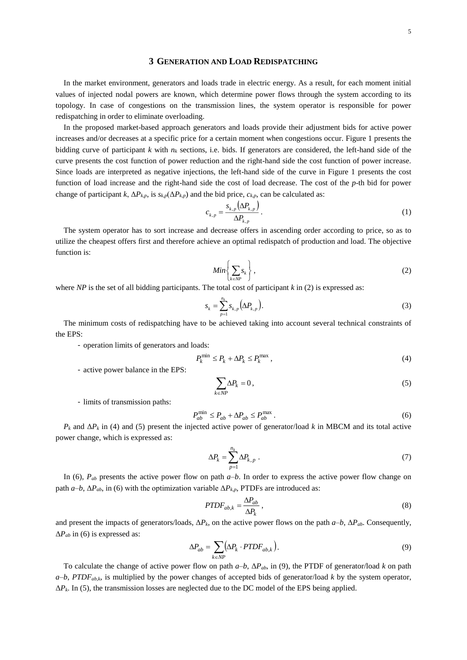## **3 GENERATION AND LOAD REDISPATCHING**

In the market environment, generators and loads trade in electric energy. As a result, for each moment initial values of injected nodal powers are known, which determine power flows through the system according to its topology. In case of congestions on the transmission lines, the system operator is responsible for power redispatching in order to eliminate overloading.

In the proposed market-based approach generators and loads provide their adjustment bids for active power increases and/or decreases at a specific price for a certain moment when congestions occur. [Figure 1](#page-17-0) presents the bidding curve of participant *k* with *n<sup>k</sup>* sections, i.e. bids. If generators are considered, the left-hand side of the curve presents the cost function of power reduction and the right-hand side the cost function of power increase. Since loads are interpreted as negative injections, the left-hand side of the curve in [Figure 1](#page-17-0) presents the cost function of load increase and the right-hand side the cost of load decrease. The cost of the *p*-th bid for power change of participant  $k$ ,  $\Delta P_{k,p}$ , is  $s_{k,p}(\Delta P_{k,p})$  and the bid price,  $c_{k,p}$ , can be calculated as:

$$
c_{k,p} = \frac{s_{k,p}(\Delta P_{k,p})}{\Delta P_{k,p}}.
$$
\n(1)

The system operator has to sort increase and decrease offers in ascending order according to price, so as to utilize the cheapest offers first and therefore achieve an optimal redispatch of production and load. The objective function is:

$$
Min\left\{\sum_{k\in NP} s_k\right\},\tag{2}
$$

where *NP* is the set of all bidding participants. The total cost of participant *k* in (2) is expressed as:

$$
S_k = \sum_{p=1}^{n_k} S_{k,p} (\Delta P_{k,p}).
$$
\n(3)

The minimum costs of redispatching have to be achieved taking into account several technical constraints of the EPS:

- operation limits of generators and loads:

$$
P_k^{\min} \le P_k + \Delta P_k \le P_k^{\max},\tag{4}
$$

- active power balance in the EPS:

$$
\sum_{k \in NP} \Delta P_k = 0, \tag{5}
$$

- limits of transmission paths:

$$
P_{ab}^{\min} \le P_{ab} + \Delta P_{ab} \le P_{ab}^{\max} \,. \tag{6}
$$

 $P_k$  and  $\Delta P_k$  in (4) and (5) present the injected active power of generator/load *k* in MBCM and its total active power change, which is expressed as:

$$
\Delta P_k = \sum_{p=1}^{n_k} \Delta P_{k,p} \tag{7}
$$

In (6),  $P_{ab}$  presents the active power flow on path  $a-b$ . In order to express the active power flow change on path  $a-b$ ,  $\Delta P_{ab}$ , in (6) with the optimization variable  $\Delta P_{k,p}$ , PTDFs are introduced as:

$$
PTDF_{ab,k} = \frac{\Delta P_{ab}}{\Delta P_k},\tag{8}
$$

and present the impacts of generators/loads,  $\Delta P_k$ , on the active power flows on the path  $a-b$ ,  $\Delta P_{ab}$ . Consequently,  $\Delta P_{ab}$  in (6) is expressed as:

$$
\Delta P_{ab} = \sum_{k \in NP} \Bigl( \Delta P_k \cdot P T D F_{ab,k} \Bigr). \tag{9}
$$

To calculate the change of active power flow on path  $a-b$ ,  $\Delta P_{ab}$ , in (9), the PTDF of generator/load *k* on path *a*–*b*, *PTDFab,k*, is multiplied by the power changes of accepted bids of generator/load *k* by the system operator,  $\Delta P_k$ . In (5), the transmission losses are neglected due to the DC model of the EPS being applied.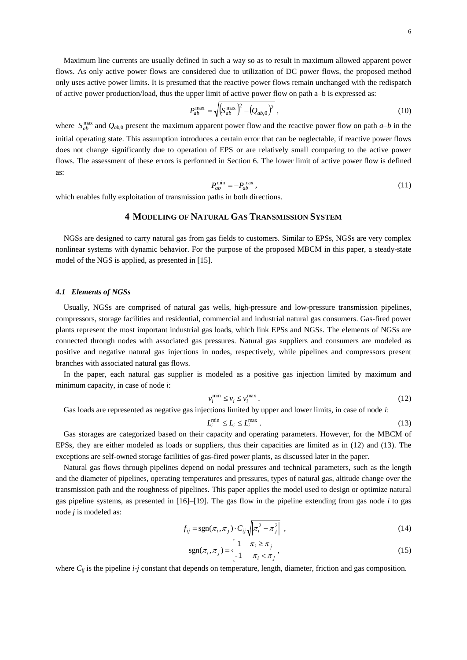Maximum line currents are usually defined in such a way so as to result in maximum allowed apparent power flows. As only active power flows are considered due to utilization of DC power flows, the proposed method only uses active power limits. It is presumed that the reactive power flows remain unchanged with the redispatch of active power production/load, thus the upper limit of active power flow on path a–b is expressed as:

$$
P_{ab}^{\max} = \sqrt{(S_{ab}^{\max})^2 - (Q_{ab,0})^2} , \qquad (10)
$$

where  $S_{ab}^{max}$  and  $Q_{ab,0}$  present the maximum apparent power flow and the reactive power flow on path  $a-b$  in the initial operating state. This assumption introduces a certain error that can be neglectable, if reactive power flows does not change significantly due to operation of EPS or are relatively small comparing to the active power flows. The assessment of these errors is performed in Section [6.](#page-12-0) The lower limit of active power flow is defined as:

$$
P_{ab}^{\min} = -P_{ab}^{\max},\tag{11}
$$

which enables fully exploitation of transmission paths in both directions.

## **4 MODELING OF NATURAL GAS TRANSMISSION SYSTEM**

NGSs are designed to carry natural gas from gas fields to customers. Similar to EPSs, NGSs are very complex nonlinear systems with dynamic behavior. For the purpose of the proposed MBCM in this paper, a steady-state model of the NGS is applied, as presented i[n \[15\].](#page-14-11)

#### *4.1 Elements of NGSs*

Usually, NGSs are comprised of natural gas wells, high-pressure and low-pressure transmission pipelines, compressors, storage facilities and residential, commercial and industrial natural gas consumers. Gas-fired power plants represent the most important industrial gas loads, which link EPSs and NGSs. The elements of NGSs are connected through nodes with associated gas pressures. Natural gas suppliers and consumers are modeled as positive and negative natural gas injections in nodes, respectively, while pipelines and compressors present branches with associated natural gas flows.

In the paper, each natural gas supplier is modeled as a positive gas injection limited by maximum and minimum capacity, in case of node *i*:

$$
v_i^{\min} \le v_i \le v_i^{\max} \,. \tag{12}
$$

Gas loads are represented as negative gas injections limited by upper and lower limits, in case of node *i*:

$$
L_i^{\min} \le L_i \le L_i^{\max} \tag{13}
$$

Gas storages are categorized based on their capacity and operating parameters. However, for the MBCM of EPSs, they are either modeled as loads or suppliers, thus their capacities are limited as in (12) and (13). The exceptions are self-owned storage facilities of gas-fired power plants, as discussed later in the paper.

Natural gas flows through pipelines depend on nodal pressures and technical parameters, such as the length and the diameter of pipelines, operating temperatures and pressures, types of natural gas, altitude change over the transmission path and the roughness of pipelines. This paper applies the model used to design or optimize natural gas pipeline systems, as presented in [\[16\]–](#page-14-12)[\[19\].](#page-14-13) The gas flow in the pipeline extending from gas node *i* to gas node *j* is modeled as:

$$
f_{ij} = \text{sgn}(\pi_i, \pi_j) \cdot C_{ij} \sqrt{|\pi_i^2 - \pi_j^2|} \tag{14}
$$

$$
sgn(\pi_i, \pi_j) = \begin{cases} 1 & \pi_i \ge \pi_j \\ -1 & \pi_i < \pi_j \end{cases},\tag{15}
$$

where *Cij* is the pipeline *i*-*j* constant that depends on temperature, length, diameter, friction and gas composition.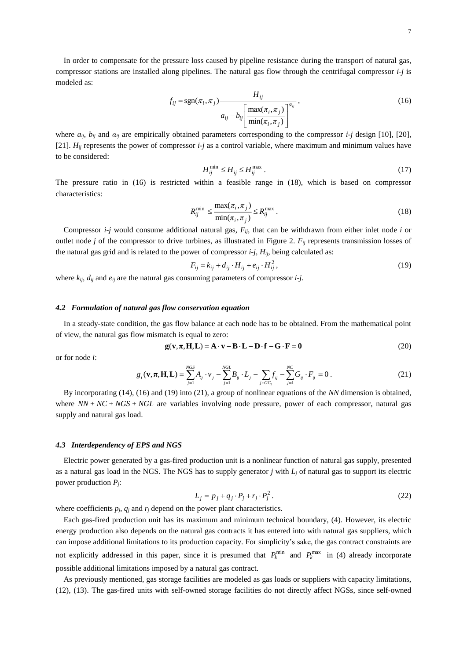In order to compensate for the pressure loss caused by pipeline resistance during the transport of natural gas, compressor stations are installed along pipelines. The natural gas flow through the centrifugal compressor *i*-*j* is modeled as:

$$
f_{ij} = \text{sgn}(\pi_i, \pi_j) \frac{H_{ij}}{a_{ij} - b_{ij} \left[ \frac{\max(\pi_i, \pi_j)}{\min(\pi_i, \pi_j)} \right]^{\alpha_{ij}}},
$$
\n(16)

where  $a_{ij}$ ,  $b_{ij}$  and  $a_{ij}$  are empirically obtained parameters corresponding to the compressor *i*-*j* design [\[10\],](#page-14-6) [\[20\],](#page-14-14) [\[21\].](#page-14-15) *Hij* represents the power of compressor *i*-*j* as a control variable, where maximum and minimum values have to be considered:

$$
H_{ij}^{\min} \le H_{ij} \le H_{ij}^{\max} \tag{17}
$$

The pressure ratio in (16) is restricted within a feasible range in (18), which is based on compressor characteristics:

$$
R_{ij}^{\min} \le \frac{\max(\pi_i, \pi_j)}{\min(\pi_i, \pi_j)} \le R_{ij}^{\max} . \tag{18}
$$

Compressor *i*-*j* would consume additional natural gas, *Fij*, that can be withdrawn from either inlet node *i* or outlet node *j* of the compressor to drive turbines, as illustrated in [Figure 2.](#page-17-1) *Fij* represents transmission losses of the natural gas grid and is related to the power of compressor *i*-*j*, *Hij*, being calculated as:

$$
F_{ij} = k_{ij} + d_{ij} \cdot H_{ij} + e_{ij} \cdot H_{ij}^2,
$$
\n(19)

where  $k_{ij}$ ,  $d_{ij}$  and  $e_{ij}$  are the natural gas consuming parameters of compressor  $i$ - $j$ .

#### *4.2 Formulation of natural gas flow conservation equation*

In a steady-state condition, the gas flow balance at each node has to be obtained. From the mathematical point of view, the natural gas flow mismatch is equal to zero:

$$
g(v, \pi, H, L) = A \cdot v - B \cdot L - D \cdot f - G \cdot F = 0
$$
\n(20)

or for node *i*:

$$
g_i(\mathbf{v}, \pi, \mathbf{H}, \mathbf{L}) = \sum_{j=1}^{NGS} A_{ij} \cdot \mathbf{v}_j - \sum_{j=1}^{NGL} B_{ij} \cdot L_j - \sum_{j \in GC_i} f_{ij} - \sum_{j=1}^{NG} G_{ij} \cdot F_{ij} = 0.
$$
 (21)

By incorporating (14), (16) and (19) into (21), a group of nonlinear equations of the *NN* dimension is obtained, where  $NN + NC + NGS + NGL$  are variables involving node pressure, power of each compressor, natural gas supply and natural gas load.

### *4.3 Interdependency of EPS and NGS*

Electric power generated by a gas-fired production unit is a nonlinear function of natural gas supply, presented as a natural gas load in the NGS. The NGS has to supply generator *j* with *L<sup>j</sup>* of natural gas to support its electric power production *Pj*:

$$
L_j = p_j + q_j \cdot P_j + r_j \cdot P_j^2. \tag{22}
$$

where coefficients  $p_j$ ,  $q_j$  and  $r_j$  depend on the power plant characteristics.

Each gas-fired production unit has its maximum and minimum technical boundary, (4). However, its electric energy production also depends on the natural gas contracts it has entered into with natural gas suppliers, which can impose additional limitations to its production capacity. For simplicity's sake, the gas contract constraints are not explicitly addressed in this paper, since it is presumed that  $P_k^{\min}$  and  $P_k^{\max}$  in (4) already incorporate possible additional limitations imposed by a natural gas contract.

As previously mentioned, gas storage facilities are modeled as gas loads or suppliers with capacity limitations, (12), (13). The gas-fired units with self-owned storage facilities do not directly affect NGSs, since self-owned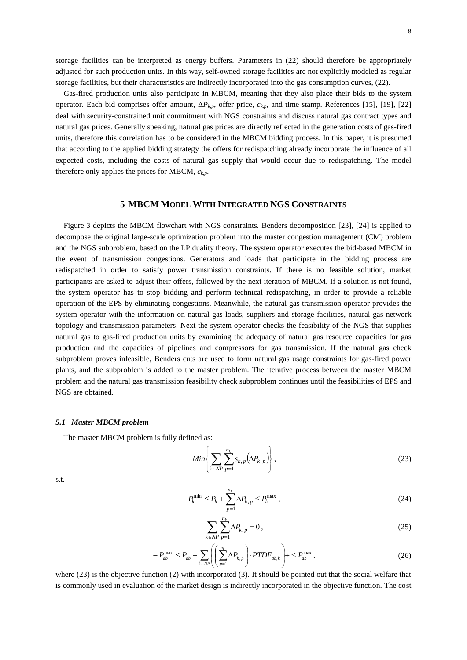storage facilities can be interpreted as energy buffers. Parameters in (22) should therefore be appropriately adjusted for such production units. In this way, self-owned storage facilities are not explicitly modeled as regular storage facilities, but their characteristics are indirectly incorporated into the gas consumption curves, (22).

Gas-fired production units also participate in MBCM, meaning that they also place their bids to the system operator. Each bid comprises offer amount, Δ*Pk,p*, offer price, *ck,p*, and time stamp. References [\[15\],](#page-14-11) [\[19\],](#page-14-13) [\[22\]](#page-15-0) deal with security-constrained unit commitment with NGS constraints and discuss natural gas contract types and natural gas prices. Generally speaking, natural gas prices are directly reflected in the generation costs of gas-fired units, therefore this correlation has to be considered in the MBCM bidding process. In this paper, it is presumed that according to the applied bidding strategy the offers for redispatching already incorporate the influence of all expected costs, including the costs of natural gas supply that would occur due to redispatching. The model therefore only applies the prices for MBCM, *ck,p*.

## **5 MBCM MODEL WITH INTEGRATED NGS CONSTRAINTS**

[Figure 3](#page-17-2) depicts the MBCM flowchart with NGS constraints. Benders decomposition [\[23\],](#page-15-1) [\[24\]](#page-15-2) is applied to decompose the original large-scale optimization problem into the master congestion management (CM) problem and the NGS subproblem, based on the LP duality theory. The system operator executes the bid-based MBCM in the event of transmission congestions. Generators and loads that participate in the bidding process are redispatched in order to satisfy power transmission constraints. If there is no feasible solution, market participants are asked to adjust their offers, followed by the next iteration of MBCM. If a solution is not found, the system operator has to stop bidding and perform technical redispatching, in order to provide a reliable operation of the EPS by eliminating congestions. Meanwhile, the natural gas transmission operator provides the system operator with the information on natural gas loads, suppliers and storage facilities, natural gas network topology and transmission parameters. Next the system operator checks the feasibility of the NGS that supplies natural gas to gas-fired production units by examining the adequacy of natural gas resource capacities for gas production and the capacities of pipelines and compressors for gas transmission. If the natural gas check subproblem proves infeasible, Benders cuts are used to form natural gas usage constraints for gas-fired power plants, and the subproblem is added to the master problem. The iterative process between the master MBCM problem and the natural gas transmission feasibility check subproblem continues until the feasibilities of EPS and NGS are obtained.

#### *5.1 Master MBCM problem*

The master MBCM problem is fully defined as:

$$
Min\left\{\sum_{k\in NP}\sum_{p=1}^{n_k} s_{k,p}\left(\Delta P_{k,p}\right)\right\},\tag{23}
$$

s.t.

$$
P_k^{\min} \le P_k + \sum_{p=1}^{n_k} \Delta P_{k,p} \le P_k^{\max} \,, \tag{24}
$$

$$
\sum_{k \in NP} \sum_{p=1}^{n_k} \Delta P_{k,p} = 0, \qquad (25)
$$

$$
-P_{ab}^{\max} \le P_{ab} + \sum_{k \in NP} \left( \left( \sum_{p=1}^{n_k} \Delta P_{k,p} \right) \cdot P T D F_{ab,k} \right) + \le P_{ab}^{\max} \,. \tag{26}
$$

where (23) is the objective function (2) with incorporated (3). It should be pointed out that the social welfare that is commonly used in evaluation of the market design is indirectly incorporated in the objective function. The cost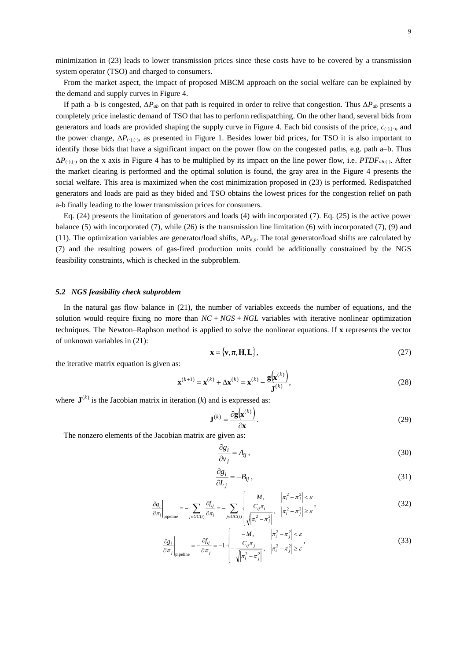minimization in (23) leads to lower transmission prices since these costs have to be covered by a transmission system operator (TSO) and charged to consumers.

From the market aspect, the impact of proposed MBCM approach on the social welfare can be explained by the demand and supply curves in [Figure 4.](#page-18-0)

If path a–b is congested,  $\Delta P_{ab}$  on that path is required in order to relive that congestion. Thus  $\Delta P_{ab}$  presents a completely price inelastic demand of TSO that has to perform redispatching. On the other hand, several bids from generators and loads are provided shaping the supply curve in [Figure 4.](#page-18-0) Each bid consists of the price,  $c_{(.)}(.)$ , and the power change,  $\Delta P_{(\cdot),(\cdot)}$ , as presented in [Figure 1.](#page-17-0) Besides lower bid prices, for TSO it is also important to identify those bids that have a significant impact on the power flow on the congested paths, e.g. path a–b. Thus  $\Delta P_{(\cdot),(\cdot)}$  on the x axis in [Figure 4](#page-18-0) has to be multiplied by its impact on the line power flow, i.e. *PTDF<sub>ab*,(·)</sub>. After the market clearing is performed and the optimal solution is found, the gray area in the [Figure 4](#page-18-0) presents the social welfare. This area is maximized when the cost minimization proposed in (23) is performed. Redispatched generators and loads are paid as they bided and TSO obtains the lowest prices for the congestion relief on path a-b finally leading to the lower transmission prices for consumers.

Eq. (24) presents the limitation of generators and loads (4) with incorporated (7). Eq. (25) is the active power balance (5) with incorporated (7), while (26) is the transmission line limitation (6) with incorporated (7), (9) and (11). The optimization variables are generator/load shifts, Δ*Pk,p*. The total generator/load shifts are calculated by (7) and the resulting powers of gas-fired production units could be additionally constrained by the NGS feasibility constraints, which is checked in the subproblem.

#### <span id="page-8-0"></span>*5.2 NGS feasibility check subproblem*

In the natural gas flow balance in (21), the number of variables exceeds the number of equations, and the solution would require fixing no more than *NC* + *NGS* + *NGL* variables with iterative nonlinear optimization techniques. The Newton–Raphson method is applied to solve the nonlinear equations. If **x** represents the vector of unknown variables in (21):

$$
\mathbf{x} = {\mathbf{v}, \boldsymbol{\pi}, \mathbf{H}, \mathbf{L}},\tag{27}
$$

the iterative matrix equation is given as:

$$
\mathbf{x}^{(k+1)} = \mathbf{x}^{(k)} + \Delta \mathbf{x}^{(k)} = \mathbf{x}^{(k)} - \frac{\mathbf{g}(\mathbf{x}^{(k)})}{\mathbf{J}^{(k)}},
$$
(28)

where  $J^{(k)}$  is the Jacobian matrix in iteration (*k*) and is expressed as:

$$
\mathbf{J}^{(k)} = \frac{\partial \mathbf{g}(\mathbf{x}^{(k)})}{\partial \mathbf{x}}.
$$
 (29)

The nonzero elements of the Jacobian matrix are given as:

$$
\frac{\partial g_i}{\partial v_j} = A_{ij},\tag{30}
$$

$$
\frac{\partial g_i}{\partial L_j} = -B_{ij} \,,\tag{31}
$$

$$
\frac{\partial g_i}{\partial \pi_i}\Big|_{\text{pipeline}} = -\sum_{j \in GC(i)} \frac{\partial f_{ij}}{\partial \pi_i} = -\sum_{j \in GC(i)} \left\{ \frac{M}{\sqrt{\left|\pi_i^2 - \pi_j^2\right|}} , \frac{\left|\pi_i^2 - \pi_j^2\right| < \varepsilon}{\left|\pi_i^2 - \pi_j^2\right|} \right\} \quad (32)
$$

$$
\left.\frac{\partial g_i}{\partial \pi_j}\right|_{\text{pipeline}} = -\frac{\partial f_{ij}}{\partial \pi_j} = -1 \cdot \left\{ -\frac{C_{ij}\pi_j}{\sqrt{\left|\pi_i^2 - \pi_j^2\right|}}, \quad \left|\pi_i^2 - \pi_j^2\right| \ge \varepsilon \right\} \tag{33}
$$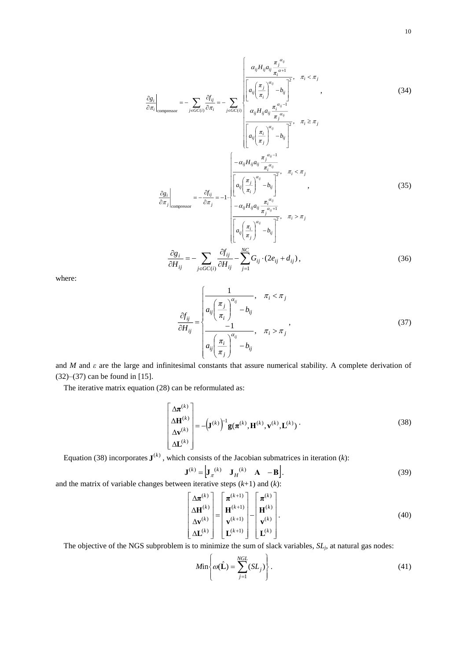$$
\frac{\partial g_i}{\partial \pi_i}\Big|_{\text{compressor}} = -\sum_{j \in GC(i)} \frac{\partial f_{ij}}{\partial \pi_i} = -\sum_{j \in GC(i)} \frac{\left[ a_{ij} \left( \frac{\pi_j}{\pi_i} \right)^{\alpha_{ij}} - b_{ij} \right]^2}{a_{ij} H_{ij} a_{ij} \frac{\pi_i^{\alpha_{ij}-1}}{\pi_j^{\alpha_{ij}}}} , \quad \pi_i < \pi_j
$$
\n
$$
\frac{\partial g_i}{\partial \pi_j}\Big|_{\text{compressor}} = -\frac{\partial f_{ij}}{\partial \pi_j} = -1 \cdot \left[ \frac{a_{ij} H_{ij} a_{ij} \frac{\pi_i^{\alpha_{ij}-1}}{\pi_j^{\alpha_{ij}}} - b_{ij} \right]^2}{\left[ a_{ij} \left( \frac{\pi_i}{\pi_i} \right)^{\alpha_{ij}} - b_{ij} \right]^2} , \quad \pi_i < \pi_j
$$
\n
$$
\frac{\partial g_i}{\partial \pi_j}\Big|_{\text{compressor}} = -\frac{\partial f_{ij}}{\partial \pi_j} = -1 \cdot \left[ \frac{a_{ij} \left( \frac{\pi_j}{\pi_i} \right)^{\alpha_{ij}} - a_{ij} \frac{\pi_i^{\alpha_{ij}-1}}{\pi_i^{\alpha_{ij}}} - a_{ij} H_{ij} a_{ij} \frac{\pi_i^{\alpha_{ij}-1}}{\pi_i^{\alpha_{ij}+1}}} \right] , \quad (35)
$$
\n
$$
\frac{\partial g_i}{\partial H_{ij}} = -\sum_{j \in GC(i)} \frac{\partial f_{ij}}{\partial H_{ij}} - \sum_{j=1}^{NC} G_{ij} \cdot (2e_{ij} + d_{ij}), \quad (36)
$$

where:

$$
\frac{\partial f_{ij}}{\partial H_{ij}} = \begin{cases}\n\frac{1}{a_{ij} \left(\frac{\pi_j}{\pi_i}\right)^{\alpha_{ij}}} & \pi_i < \pi_j \\
\frac{-1}{a_{ij} \left(\frac{\pi_i}{\pi_j}\right)^{\alpha_{ij}}} & \pi_i > \pi_j\n\end{cases} \tag{37}
$$

and  $M$  and  $\varepsilon$  are the large and infinitesimal constants that assure numerical stability. A complete derivation of (32)–(37) can be found in [\[15\].](#page-14-11)

*j*

 $(i)$   $j=1$ 

 $j \in GC(i)$ <sup>CII</sup><sup>*i*</sup>

*ij*

*H*

The iterative matrix equation (28) can be reformulated as:

$$
\begin{bmatrix}\n\Delta \mathbf{\pi}^{(k)} \\
\Delta \mathbf{H}^{(k)} \\
\Delta \mathbf{v}^{(k)}\n\end{bmatrix} = -(\mathbf{J}^{(k)})^{-1} \mathbf{g}(\boldsymbol{\pi}^{(k)}, \mathbf{H}^{(k)}, \mathbf{v}^{(k)}, \mathbf{L}^{(k)})
$$
\n(38)

Equation (38) incorporates  $J^{(k)}$ , which consists of the Jacobian submatrices in iteration (*k*):

$$
\mathbf{J}^{(k)} = \begin{bmatrix} \mathbf{J}_{\pi}^{(k)} & \mathbf{J}_{H}^{(k)} & \mathbf{A} & -\mathbf{B} \end{bmatrix}.
$$
 (39)

and the matrix of variable changes between iterative steps (*k*+1) and (*k*):

$$
\begin{bmatrix}\n\Delta \boldsymbol{\pi}^{(k)} \\
\Delta \mathbf{H}^{(k)} \\
\Delta \mathbf{v}^{(k)}\n\end{bmatrix} = \begin{bmatrix}\n\boldsymbol{\pi}^{(k+1)} \\
\mathbf{H}^{(k+1)} \\
\mathbf{v}^{(k+1)} \\
\mathbf{L}^{(k+1)}\n\end{bmatrix} - \begin{bmatrix}\n\boldsymbol{\pi}^{(k)} \\
\mathbf{H}^{(k)} \\
\mathbf{v}^{(k)} \\
\mathbf{L}^{(k)}\n\end{bmatrix}.
$$
\n(40)

The objective of the NGS subproblem is to minimize the sum of slack variables, *SLj*, at natural gas nodes:

$$
Min\left\{\omega(\hat{\mathbf{L}}) = \sum_{j=1}^{NGL} (SL_j)\right\}.
$$
\n(41)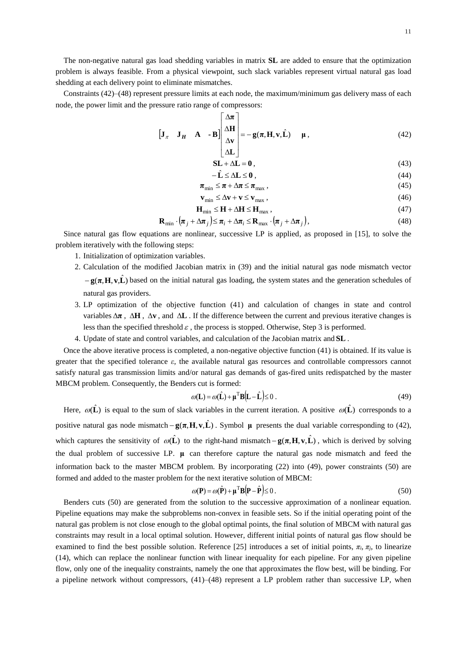The non-negative natural gas load shedding variables in matrix **SL** are added to ensure that the optimization problem is always feasible. From a physical viewpoint, such slack variables represent virtual natural gas load shedding at each delivery point to eliminate mismatches.

Constraints (42)–(48) represent pressure limits at each node, the maximum/minimum gas delivery mass of each node, the power limit and the pressure ratio range of compressors:

$$
\begin{bmatrix} \mathbf{J}_{\pi} & \mathbf{J}_{H} & \mathbf{A} & -\mathbf{B} \end{bmatrix} \begin{bmatrix} \Delta \pi \\ \Delta \mathbf{H} \\ \Delta \mathbf{v} \\ \Delta \mathbf{L} \end{bmatrix} = -\mathbf{g}(\pi, \mathbf{H}, \mathbf{v}, \hat{\mathbf{L}}) \quad \mu, \tag{42}
$$

$$
SL + \Delta L = 0, \qquad (43)
$$

$$
-L \leq \Delta L \leq 0, \tag{44}
$$

$$
\boldsymbol{\pi}_{\min} \leq \boldsymbol{\pi} + \Delta \boldsymbol{\pi} \leq \boldsymbol{\pi}_{\max} \,, \tag{45}
$$

$$
\mathbf{v}_{\text{min}} \le \Delta \mathbf{v} + \mathbf{v} \le \mathbf{v}_{\text{max}} \,,\tag{45}
$$
\n
$$
\mathbf{H} \le \mathbf{H} + \Delta \mathbf{H} \le \mathbf{H} \tag{47}
$$

$$
\mathbf{H}_{\min} \le \mathbf{H} + \Delta \mathbf{H} \le \mathbf{H}_{\max},\tag{47}
$$

$$
\mathbf{R}_{\min} \cdot (\boldsymbol{\pi}_j + \Delta \boldsymbol{\pi}_j) \le \boldsymbol{\pi}_i + \Delta \boldsymbol{\pi}_i \le \mathbf{R}_{\max} \cdot (\boldsymbol{\pi}_j + \Delta \boldsymbol{\pi}_j), \tag{48}
$$

Since natural gas flow equations are nonlinear, successive LP is applied, as proposed in [\[15\],](#page-14-11) to solve the problem iteratively with the following steps:

- 1. Initialization of optimization variables.
- 2. Calculation of the modified Jacobian matrix in (39) and the initial natural gas node mismatch vector  $-\mathbf{g}(\pi, \mathbf{H}, \mathbf{v}, \hat{\mathbf{L}})$  based on the initial natural gas loading, the system states and the generation schedules of natural gas providers.
- 3. LP optimization of the objective function (41) and calculation of changes in state and control variables  $\Delta \pi$ ,  $\Delta H$ ,  $\Delta v$ , and  $\Delta L$ . If the difference between the current and previous iterative changes is less than the specified threshold  $\varepsilon$ , the process is stopped. Otherwise, Step 3 is performed.
- 4. Update of state and control variables, and calculation of the Jacobian matrix and **SL** .

Once the above iterative process is completed, a non-negative objective function (41) is obtained. If its value is greater that the specified tolerance *ε*, the available natural gas resources and controllable compressors cannot satisfy natural gas transmission limits and/or natural gas demands of gas-fired units redispatched by the master MBCM problem. Consequently, the Benders cut is formed:

$$
\omega(\mathbf{L}) = \omega(\hat{\mathbf{L}}) + \mathbf{\mu}^{\mathrm{T}} \mathbf{B} (\mathbf{L} - \hat{\mathbf{L}}) \le 0.
$$
 (49)

Here,  $\omega(\hat{\mathbf{L}})$  is equal to the sum of slack variables in the current iteration. A positive  $\omega(\hat{\mathbf{L}})$  corresponds to a positive natural gas node mismatch  $-g(\pi, H, v, \hat{L})$ . Symbol  $\mu$  presents the dual variable corresponding to (42), which captures the sensitivity of  $\omega(\hat{\mathbf{L}})$  to the right-hand mismatch  $-\mathbf{g}(\pi, \mathbf{H}, \mathbf{v}, \hat{\mathbf{L}})$ , which is derived by solving the dual problem of successive LP. **μ** can therefore capture the natural gas node mismatch and feed the information back to the master MBCM problem. By incorporating (22) into (49), power constraints (50) are formed and added to the master problem for the next iterative solution of MBCM:

$$
\omega(\mathbf{P}) = \omega(\hat{\mathbf{P}}) + \mathbf{\mu}^{\mathrm{T}} \mathbf{B} (\mathbf{P} - \hat{\mathbf{P}}) \le 0.
$$
 (50)

Benders cuts (50) are generated from the solution to the successive approximation of a nonlinear equation. Pipeline equations may make the subproblems non-convex in feasible sets. So if the initial operating point of the natural gas problem is not close enough to the global optimal points, the final solution of MBCM with natural gas constraints may result in a local optimal solution. However, different initial points of natural gas flow should be examined to find the best possible solution. Reference [\[25\]](#page-15-3) introduces a set of initial points,  $\pi_i$ ,  $\pi_j$ , to linearize (14), which can replace the nonlinear function with linear inequality for each pipeline. For any given pipeline flow, only one of the inequality constraints, namely the one that approximates the flow best, will be binding. For a pipeline network without compressors, (41)–(48) represent a LP problem rather than successive LP, when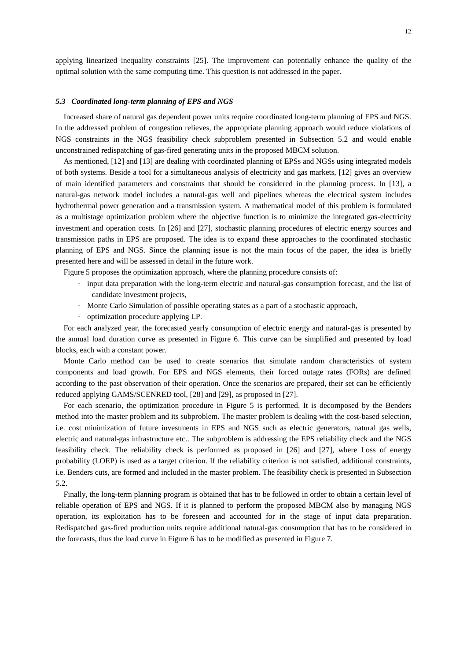applying linearized inequality constraints [\[25\].](#page-15-3) The improvement can potentially enhance the quality of the optimal solution with the same computing time. This question is not addressed in the paper.

## *5.3 Coordinated long-term planning of EPS and NGS*

Increased share of natural gas dependent power units require coordinated long-term planning of EPS and NGS. In the addressed problem of congestion relieves, the appropriate planning approach would reduce violations of NGS constraints in the NGS feasibility check subproblem presented in Subsection [5.2](#page-8-0) and would enable unconstrained redispatching of gas-fired generating units in the proposed MBCM solution.

As mentioned, [\[12\]](#page-14-8) and [\[13\]](#page-14-9) are dealing with coordinated planning of EPSs and NGSs using integrated models of both systems. Beside a tool for a simultaneous analysis of electricity and gas markets, [\[12\]](#page-14-8) gives an overview of main identified parameters and constraints that should be considered in the planning process. In [\[13\],](#page-14-9) a natural-gas network model includes a natural-gas well and pipelines whereas the electrical system includes hydrothermal power generation and a transmission system. A mathematical model of this problem is formulated as a multistage optimization problem where the objective function is to minimize the integrated gas-electricity investment and operation costs. In [\[26\]](#page-15-4) and [\[27\],](#page-15-5) stochastic planning procedures of electric energy sources and transmission paths in EPS are proposed. The idea is to expand these approaches to the coordinated stochastic planning of EPS and NGS. Since the planning issue is not the main focus of the paper, the idea is briefly presented here and will be assessed in detail in the future work.

[Figure 5](#page-18-1) proposes the optimization approach, where the planning procedure consists of:

- input data preparation with the long-term electric and natural-gas consumption forecast, and the list of candidate investment projects,
- Monte Carlo Simulation of possible operating states as a part of a stochastic approach,
- optimization procedure applying LP.

For each analyzed year, the forecasted yearly consumption of electric energy and natural-gas is presented by the annual load duration curve as presented in [Figure 6.](#page-19-0) This curve can be simplified and presented by load blocks, each with a constant power.

Monte Carlo method can be used to create scenarios that simulate random characteristics of system components and load growth. For EPS and NGS elements, their forced outage rates (FORs) are defined according to the past observation of their operation. Once the scenarios are prepared, their set can be efficiently reduced applying GAMS/SCENRED tool, [\[28\]](#page-15-6) and [\[29\],](#page-15-7) as proposed i[n \[27\].](#page-15-5)

For each scenario, the optimization procedure in [Figure 5](#page-18-1) is performed. It is decomposed by the Benders method into the master problem and its subproblem. The master problem is dealing with the cost-based selection, i.e. cost minimization of future investments in EPS and NGS such as electric generators, natural gas wells, electric and natural-gas infrastructure etc.. The subproblem is addressing the EPS reliability check and the NGS feasibility check. The reliability check is performed as proposed in [\[26\]](#page-15-4) and [\[27\],](#page-15-5) where Loss of energy probability (LOEP) is used as a target criterion. If the reliability criterion is not satisfied, additional constraints, i.e. Benders cuts, are formed and included in the master problem. The feasibility check is presented in Subsection [5.2.](#page-8-0)

Finally, the long-term planning program is obtained that has to be followed in order to obtain a certain level of reliable operation of EPS and NGS. If it is planned to perform the proposed MBCM also by managing NGS operation, its exploitation has to be foreseen and accounted for in the stage of input data preparation. Redispatched gas-fired production units require additional natural-gas consumption that has to be considered in the forecasts, thus the load curve in [Figure 6](#page-19-0) has to be modified as presented in [Figure 7.](#page-19-1)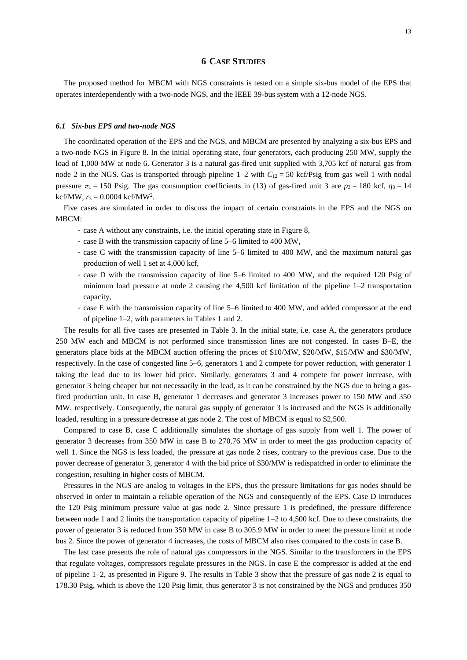### **6 CASE STUDIES**

<span id="page-12-0"></span>The proposed method for MBCM with NGS constraints is tested on a simple six-bus model of the EPS that operates interdependently with a two-node NGS, and the IEEE 39-bus system with a 12-node NGS.

## *6.1 Six-bus EPS and two-node NGS*

The coordinated operation of the EPS and the NGS, and MBCM are presented by analyzing a six-bus EPS and a two-node NGS in [Figure 8.](#page-19-2) In the initial operating state, four generators, each producing 250 MW, supply the load of 1,000 MW at node 6. Generator 3 is a natural gas-fired unit supplied with 3,705 kcf of natural gas from node 2 in the NGS. Gas is transported through pipeline  $1-2$  with  $C_{12} = 50$  kcf/Psig from gas well 1 with nodal pressure  $\pi_1$  = 150 Psig. The gas consumption coefficients in (13) of gas-fired unit 3 are  $p_3$  = 180 kcf,  $q_3$  = 14  $kcf/MW, r_3 = 0.0004 kcf/MW^2.$ 

Five cases are simulated in order to discuss the impact of certain constraints in the EPS and the NGS on MBCM:

- case A without any constraints, i.e. the initial operating state in [Figure 8,](#page-19-2)
- case B with the transmission capacity of line 5–6 limited to 400 MW,
- case C with the transmission capacity of line 5–6 limited to 400 MW, and the maximum natural gas production of well 1 set at 4,000 kcf,
- case D with the transmission capacity of line 5–6 limited to 400 MW, and the required 120 Psig of minimum load pressure at node 2 causing the 4,500 kcf limitation of the pipeline 1–2 transportation capacity,
- case E with the transmission capacity of line 5–6 limited to 400 MW, and added compressor at the end of pipeline 1–2, with parameters in Tables 1 and 2.

The results for all five cases are presented in Table 3. In the initial state, i.e. case A, the generators produce 250 MW each and MBCM is not performed since transmission lines are not congested. In cases B–E, the generators place bids at the MBCM auction offering the prices of \$10/MW, \$20/MW, \$15/MW and \$30/MW, respectively. In the case of congested line 5–6, generators 1 and 2 compete for power reduction, with generator 1 taking the lead due to its lower bid price. Similarly, generators 3 and 4 compete for power increase, with generator 3 being cheaper but not necessarily in the lead, as it can be constrained by the NGS due to being a gasfired production unit. In case B, generator 1 decreases and generator 3 increases power to 150 MW and 350 MW, respectively. Consequently, the natural gas supply of generator 3 is increased and the NGS is additionally loaded, resulting in a pressure decrease at gas node 2. The cost of MBCM is equal to \$2,500.

Compared to case B, case C additionally simulates the shortage of gas supply from well 1. The power of generator 3 decreases from 350 MW in case B to 270.76 MW in order to meet the gas production capacity of well 1. Since the NGS is less loaded, the pressure at gas node 2 rises, contrary to the previous case. Due to the power decrease of generator 3, generator 4 with the bid price of \$30/MW is redispatched in order to eliminate the congestion, resulting in higher costs of MBCM.

Pressures in the NGS are analog to voltages in the EPS, thus the pressure limitations for gas nodes should be observed in order to maintain a reliable operation of the NGS and consequently of the EPS. Case D introduces the 120 Psig minimum pressure value at gas node 2. Since pressure 1 is predefined, the pressure difference between node 1 and 2 limits the transportation capacity of pipeline 1–2 to 4,500 kcf. Due to these constraints, the power of generator 3 is reduced from 350 MW in case B to 305.9 MW in order to meet the pressure limit at node bus 2. Since the power of generator 4 increases, the costs of MBCM also rises compared to the costs in case B.

The last case presents the role of natural gas compressors in the NGS. Similar to the transformers in the EPS that regulate voltages, compressors regulate pressures in the NGS. In case E the compressor is added at the end of pipeline 1–2, as presented in [Figure 9.](#page-19-3) The results in Table 3 show that the pressure of gas node 2 is equal to 178.30 Psig, which is above the 120 Psig limit, thus generator 3 is not constrained by the NGS and produces 350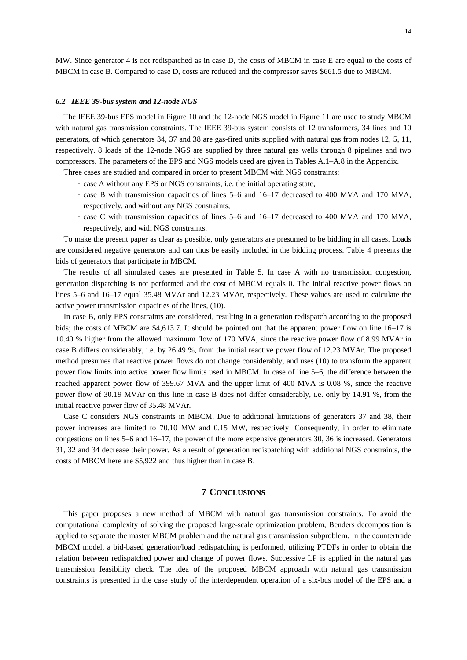MW. Since generator 4 is not redispatched as in case D, the costs of MBCM in case E are equal to the costs of MBCM in case B. Compared to case D, costs are reduced and the compressor saves \$661.5 due to MBCM.

#### *6.2 IEEE 39-bus system and 12-node NGS*

The IEEE 39-bus EPS model in [Figure 10](#page-20-0) and the 12-node NGS model i[n Figure 11](#page-20-1) are used to study MBCM with natural gas transmission constraints. The IEEE 39-bus system consists of 12 transformers, 34 lines and 10 generators, of which generators 34, 37 and 38 are gas-fired units supplied with natural gas from nodes 12, 5, 11, respectively. 8 loads of the 12-node NGS are supplied by three natural gas wells through 8 pipelines and two compressors. The parameters of the EPS and NGS models used are given in Tables A.1–A.8 in the Appendix.

Three cases are studied and compared in order to present MBCM with NGS constraints:

- case A without any EPS or NGS constraints, i.e. the initial operating state,
- case B with transmission capacities of lines 5–6 and 16–17 decreased to 400 MVA and 170 MVA, respectively, and without any NGS constraints,
- case C with transmission capacities of lines 5–6 and 16–17 decreased to 400 MVA and 170 MVA, respectively, and with NGS constraints.

To make the present paper as clear as possible, only generators are presumed to be bidding in all cases. Loads are considered negative generators and can thus be easily included in the bidding process. Table 4 presents the bids of generators that participate in MBCM.

The results of all simulated cases are presented in Table 5. In case A with no transmission congestion, generation dispatching is not performed and the cost of MBCM equals 0. The initial reactive power flows on lines 5–6 and 16–17 equal 35.48 MVAr and 12.23 MVAr, respectively. These values are used to calculate the active power transmission capacities of the lines, (10).

In case B, only EPS constraints are considered, resulting in a generation redispatch according to the proposed bids; the costs of MBCM are \$4,613.7. It should be pointed out that the apparent power flow on line 16–17 is 10.40 % higher from the allowed maximum flow of 170 MVA, since the reactive power flow of 8.99 MVAr in case B differs considerably, i.e. by 26.49 %, from the initial reactive power flow of 12.23 MVAr. The proposed method presumes that reactive power flows do not change considerably, and uses (10) to transform the apparent power flow limits into active power flow limits used in MBCM. In case of line 5–6, the difference between the reached apparent power flow of 399.67 MVA and the upper limit of 400 MVA is 0.08 %, since the reactive power flow of 30.19 MVAr on this line in case B does not differ considerably, i.e. only by 14.91 %, from the initial reactive power flow of 35.48 MVAr.

Case C considers NGS constraints in MBCM. Due to additional limitations of generators 37 and 38, their power increases are limited to 70.10 MW and 0.15 MW, respectively. Consequently, in order to eliminate congestions on lines 5–6 and 16–17, the power of the more expensive generators 30, 36 is increased. Generators 31, 32 and 34 decrease their power. As a result of generation redispatching with additional NGS constraints, the costs of MBCM here are \$5,922 and thus higher than in case B.

## **7 CONCLUSIONS**

This paper proposes a new method of MBCM with natural gas transmission constraints. To avoid the computational complexity of solving the proposed large-scale optimization problem, Benders decomposition is applied to separate the master MBCM problem and the natural gas transmission subproblem. In the countertrade MBCM model, a bid-based generation/load redispatching is performed, utilizing PTDFs in order to obtain the relation between redispatched power and change of power flows. Successive LP is applied in the natural gas transmission feasibility check. The idea of the proposed MBCM approach with natural gas transmission constraints is presented in the case study of the interdependent operation of a six-bus model of the EPS and a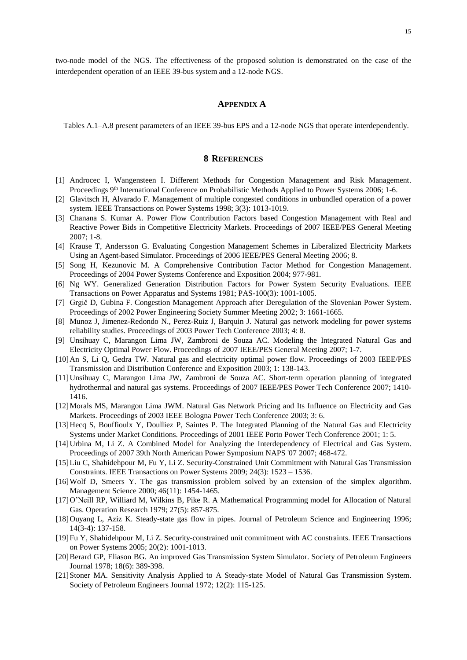two-node model of the NGS. The effectiveness of the proposed solution is demonstrated on the case of the interdependent operation of an IEEE 39-bus system and a 12-node NGS.

### **APPENDIX A**

Tables A.1–A.8 present parameters of an IEEE 39-bus EPS and a 12-node NGS that operate interdependently.

### **8 REFERENCES**

- <span id="page-14-0"></span>[1] Androcec I, Wangensteen I. Different Methods for Congestion Management and Risk Management. Proceedings 9<sup>th</sup> International Conference on Probabilistic Methods Applied to Power Systems 2006; 1-6.
- [2] Glavitsch H, Alvarado F. Management of multiple congested conditions in unbundled operation of a power system. IEEE Transactions on Power Systems 1998; 3(3): 1013-1019.
- [3] Chanana S. Kumar A. Power Flow Contribution Factors based Congestion Management with Real and Reactive Power Bids in Competitive Electricity Markets. Proceedings of 2007 IEEE/PES General Meeting 2007; 1-8.
- [4] Krause T, Andersson G. Evaluating Congestion Management Schemes in Liberalized Electricity Markets Using an Agent-based Simulator. Proceedings of 2006 IEEE/PES General Meeting 2006; 8.
- <span id="page-14-1"></span>[5] Song H, Kezunovic M. A Comprehensive Contribution Factor Method for Congestion Management. Proceedings of 2004 Power Systems Conference and Exposition 2004; 977-981.
- <span id="page-14-2"></span>[6] Ng WY. Generalized Generation Distribution Factors for Power System Security Evaluations. IEEE Transactions on Power Apparatus and Systems 1981; PAS-100(3): 1001-1005.
- <span id="page-14-3"></span>[7] Grgič D, Gubina F. Congestion Management Approach after Deregulation of the Slovenian Power System. Proceedings of 2002 Power Engineering Society Summer Meeting 2002; 3: 1661-1665.
- <span id="page-14-4"></span>[8] Munoz J, Jimenez-Redondo N., Perez-Ruiz J, Barquin J. Natural gas network modeling for power systems reliability studies. Proceedings of 2003 Power Tech Conference 2003; 4: 8.
- <span id="page-14-5"></span>[9] Unsihuay C, Marangon Lima JW, Zambroni de Souza AC. Modeling the Integrated Natural Gas and Electricity Optimal Power Flow. Proceedings of 2007 IEEE/PES General Meeting 2007; 1-7.
- <span id="page-14-6"></span>[10]An S, Li Q, Gedra TW. Natural gas and electricity optimal power flow. Proceedings of 2003 IEEE/PES Transmission and Distribution Conference and Exposition 2003; 1: 138-143.
- <span id="page-14-7"></span>[11]Unsihuay C, Marangon Lima JW, Zambroni de Souza AC. Short-term operation planning of integrated hydrothermal and natural gas systems. Proceedings of 2007 IEEE/PES Power Tech Conference 2007; 1410- 1416.
- <span id="page-14-8"></span>[12]Morals MS, Marangon Lima JWM. Natural Gas Network Pricing and Its Influence on Electricity and Gas Markets. Proceedings of 2003 IEEE Bologna Power Tech Conference 2003; 3: 6.
- <span id="page-14-9"></span>[13]Hecq S, Bouffioulx Y, Doulliez P, Saintes P. The Integrated Planning of the Natural Gas and Electricity Systems under Market Conditions. Proceedings of 2001 IEEE Porto Power Tech Conference 2001; 1: 5.
- <span id="page-14-10"></span>[14]Urbina M, Li Z. A Combined Model for Analyzing the Interdependency of Electrical and Gas System. Proceedings of 2007 39th North American Power Symposium NAPS '07 2007; 468-472.
- <span id="page-14-11"></span>[15]Liu C, Shahidehpour M, Fu Y, Li Z. Security-Constrained Unit Commitment with Natural Gas Transmission Constraints. IEEE Transactions on Power Systems 2009; 24(3): 1523 – 1536.
- <span id="page-14-12"></span>[16]Wolf D, Smeers Y. The gas transmission problem solved by an extension of the simplex algorithm. Management Science 2000; 46(11): 1454-1465.
- [17]O'Neill RP, Williard M, Wilkins B, Pike R. A Mathematical Programming model for Allocation of Natural Gas. Operation Research 1979; 27(5): 857-875.
- [18]Ouyang L, Aziz K. Steady-state gas flow in pipes. Journal of Petroleum Science and Engineering 1996; 14(3-4): 137-158.
- <span id="page-14-13"></span>[19]Fu Y, Shahidehpour M, Li Z. Security-constrained unit commitment with AC constraints. IEEE Transactions on Power Systems 2005; 20(2): 1001-1013.
- <span id="page-14-14"></span>[20]Berard GP, Eliason BG. An improved Gas Transmission System Simulator. Society of Petroleum Engineers Journal 1978; 18(6): 389-398.
- <span id="page-14-15"></span>[21]Stoner MA. Sensitivity Analysis Applied to A Steady-state Model of Natural Gas Transmission System. Society of Petroleum Engineers Journal 1972; 12(2): 115-125.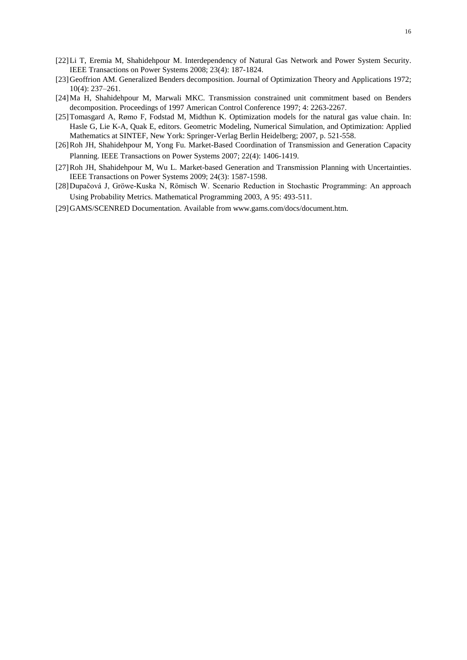- <span id="page-15-0"></span>[22]Li T, Eremia M, Shahidehpour M. Interdependency of Natural Gas Network and Power System Security. IEEE Transactions on Power Systems 2008; 23(4): 187-1824.
- <span id="page-15-1"></span>[23] Geoffrion AM. Generalized Benders decomposition. Journal of Optimization Theory and Applications 1972; 10(4): 237–261.
- <span id="page-15-2"></span>[24]Ma H, Shahidehpour M, Marwali MKC. Transmission constrained unit commitment based on Benders decomposition. Proceedings of 1997 American Control Conference 1997; 4: 2263-2267.
- <span id="page-15-3"></span>[25]Tomasgard A, Rømo F, Fodstad M, Midthun K. Optimization models for the natural gas value chain. In: Hasle G, Lie K-A, Quak E, editors. Geometric Modeling, Numerical Simulation, and Optimization: Applied Mathematics at SINTEF, New York: Springer-Verlag Berlin Heidelberg; 2007, p. 521-558.
- <span id="page-15-4"></span>[26]Roh JH, Shahidehpour M, Yong Fu. Market-Based Coordination of Transmission and Generation Capacity Planning. IEEE Transactions on Power Systems 2007; 22(4): 1406-1419.
- <span id="page-15-5"></span>[27]Roh JH, Shahidehpour M, Wu L. Market-based Generation and Transmission Planning with Uncertainties. IEEE Transactions on Power Systems 2009; 24(3): 1587-1598.
- <span id="page-15-6"></span>[28]Dupačová J, Gröwe-Kuska N, Römisch W. Scenario Reduction in Stochastic Programming: An approach Using Probability Metrics. Mathematical Programming 2003, A 95: 493-511.
- <span id="page-15-7"></span>[29]GAMS/SCENRED Documentation. Available from www.gams.com/docs/document.htm.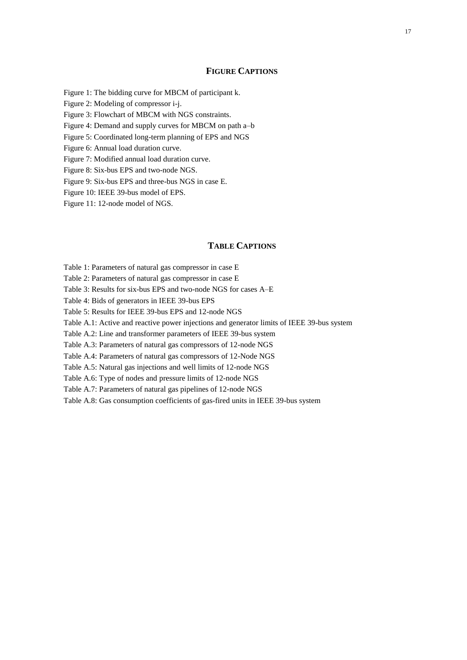## **FIGURE CAPTIONS**

Figure 1: The bidding curve for MBCM of participant k. Figure 2: Modeling of compressor i-j. Figure 3: Flowchart of MBCM with NGS constraints. Figure 4: Demand and supply curves for MBCM on path a–b Figure 5: Coordinated long-term planning of EPS and NGS Figure 6: Annual load duration curve. Figure 7: Modified annual load duration curve. Figure 8: Six-bus EPS and two-node NGS. Figure 9: Six-bus EPS and three-bus NGS in case E. Figure 10: IEEE 39-bus model of EPS. Figure 11: 12-node model of NGS.

## **TABLE CAPTIONS**

Table 1: Parameters of natural gas compressor in case E

Table 2: Parameters of natural gas compressor in case E

Table 3: Results for six-bus EPS and two-node NGS for cases A–E

Table 4: Bids of generators in IEEE 39-bus EPS

Table 5: Results for IEEE 39-bus EPS and 12-node NGS

Table A.1: Active and reactive power injections and generator limits of IEEE 39-bus system

Table A.2: Line and transformer parameters of IEEE 39-bus system

Table A.3: Parameters of natural gas compressors of 12-node NGS

Table A.4: Parameters of natural gas compressors of 12-Node NGS

Table A.5: Natural gas injections and well limits of 12-node NGS

Table A.6: Type of nodes and pressure limits of 12-node NGS

Table A.7: Parameters of natural gas pipelines of 12-node NGS

Table A.8: Gas consumption coefficients of gas-fired units in IEEE 39-bus system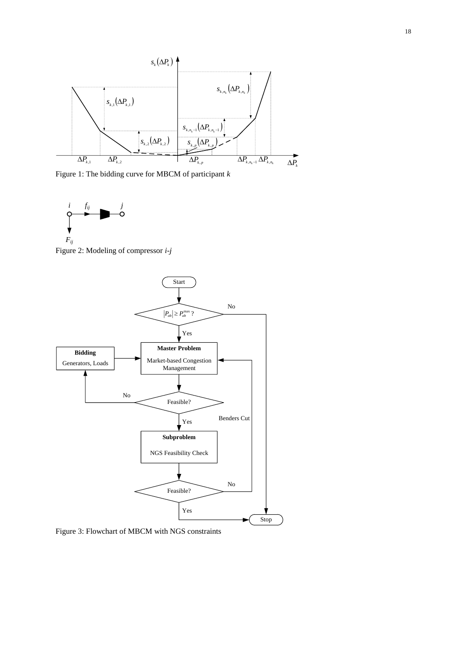

<span id="page-17-0"></span>Figure 1: The bidding curve for MBCM of participant *k*



<span id="page-17-1"></span>Figure 2: Modeling of compressor *i*-*j*



<span id="page-17-2"></span>Figure 3: Flowchart of MBCM with NGS constraints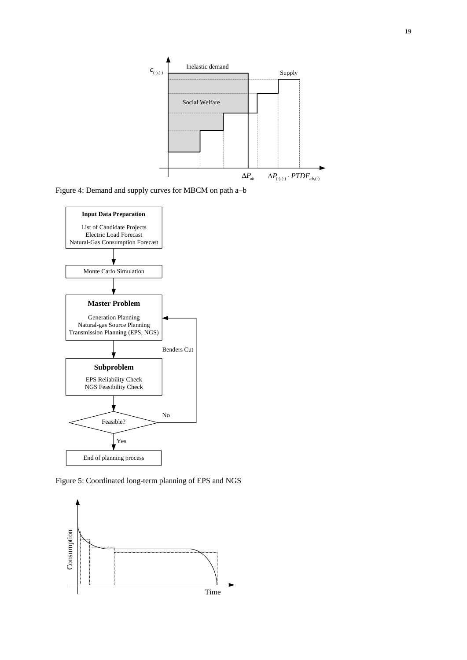

<span id="page-18-0"></span>



<span id="page-18-1"></span>Figure 5: Coordinated long-term planning of EPS and NGS

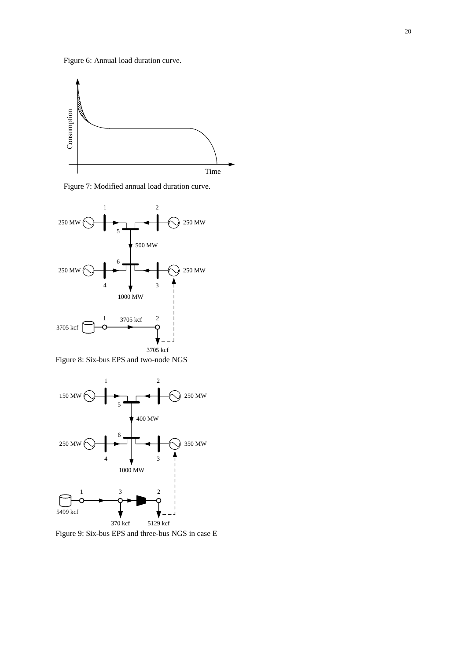<span id="page-19-0"></span>Figure 6: Annual load duration curve.



<span id="page-19-1"></span>Figure 7: Modified annual load duration curve.



<span id="page-19-2"></span>Figure 8: Six-bus EPS and two-node NGS



<span id="page-19-3"></span>Figure 9: Six-bus EPS and three-bus NGS in case E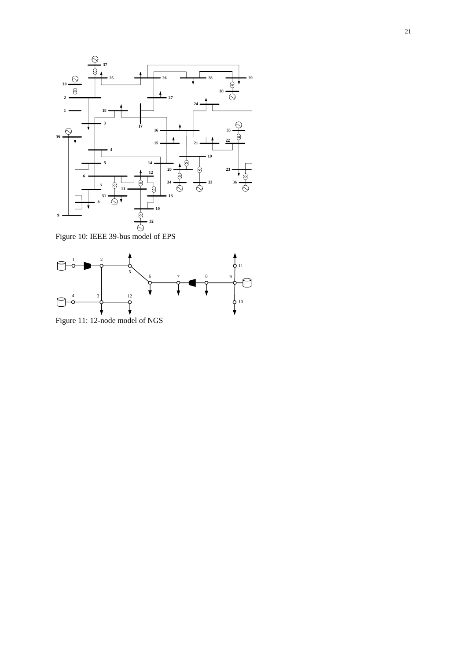

<span id="page-20-0"></span>



<span id="page-20-1"></span>Figure 11: 12-node model of NGS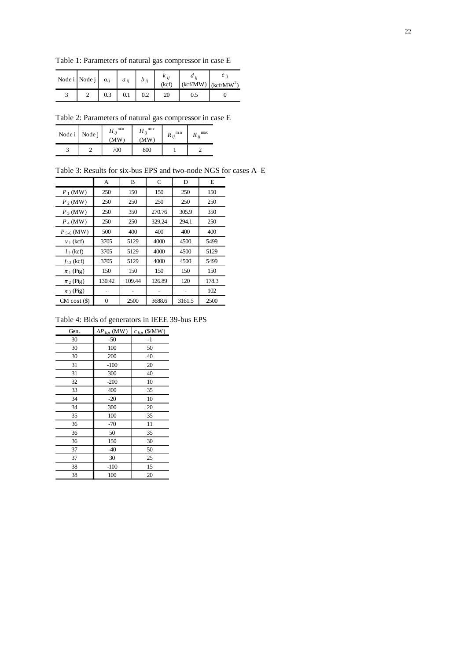Table 1: Parameters of natural gas compressor in case E

| Node i Node i | $\alpha_{ii}$ | $a_{ij}$ | $b_{ii}$ | K ii<br>(kcf) | $a_{ii}$<br>(kcf/MW) (kcf/MW <sup>2</sup> ) | $e_{ii}$ |
|---------------|---------------|----------|----------|---------------|---------------------------------------------|----------|
|               | 0.3           | V.I      |          |               | 0.5                                         |          |

Table 2: Parameters of natural gas compressor in case E

| Node i   Node j | min<br>П ;;<br>MW | max<br>П ::<br>'MW | $R_{ii}$ <sup>min</sup> | $K_{ij}$ <sup>max</sup> |
|-----------------|-------------------|--------------------|-------------------------|-------------------------|
|                 | 700               | 800                |                         |                         |

Table 3: Results for six-bus EPS and two-node NGS for cases A–E

|                | A        | B      | C      | D      | E     |
|----------------|----------|--------|--------|--------|-------|
| $P_1$ (MW)     | 250      | 150    | 150    | 250    | 150   |
| $P_2$ (MW)     | 250      | 250    | 250    | 250    | 250   |
| $P_3$ (MW)     | 250      | 350    | 270.76 | 305.9  | 350   |
| $P_4$ (MW)     | 250      | 250    | 329.24 | 294.1  | 250   |
| $P_{5-6}$ (MW) | 500      | 400    | 400    | 400    | 400   |
| $v_1$ (kcf)    | 3705     | 5129   | 4000   | 4500   | 5499  |
| $l_2$ (kcf)    | 3705     | 5129   | 4000   | 4500   | 5129  |
| $f_{12}$ (kcf) | 3705     | 5129   | 4000   | 4500   | 5499  |
| $\pi_1$ (Pig)  | 150      | 150    | 150    | 150    | 150   |
| $\pi_2$ (Pig)  | 130.42   | 109.44 | 126.89 | 120    | 178.3 |
| $\pi_3$ (Pig)  |          |        |        |        | 102   |
| CM cost(S)     | $\Omega$ | 2500   | 3688.6 | 3161.5 | 2500  |

Table 4: Bids of generators in IEEE 39-bus EPS

| Gen. | $\Delta P_{k,p}$ (MW) | $c_{k,p}$ (\$/MW) |
|------|-----------------------|-------------------|
| 30   | $-50$                 | $-1$              |
| 30   | 100                   | 50                |
| 30   | 200                   | 40                |
| 31   | $-100$                | 20                |
| 31   | 300                   | 40                |
| 32   | $-200$                | 10                |
| 33   | 400                   | 35                |
| 34   | $-20$                 | 10                |
| 34   | 300                   | 20                |
| 35   | 100                   | 35                |
| 36   | $-70$                 | 11                |
| 36   | 50                    | 35                |
| 36   | 150                   | 30                |
| 37   | $-40$                 | 50                |
| 37   | 30                    | 25                |
| 38   | $-100$                | 15                |
| 38   | 100                   | 20                |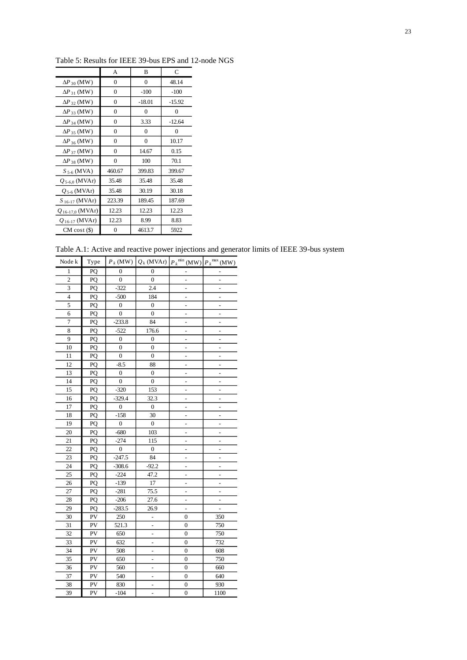|                      | А              | В              | C        |
|----------------------|----------------|----------------|----------|
| $\Delta P_{30}$ (MW) | 0              | $\mathbf{0}$   | 48.14    |
| $\Delta P_{31}$ (MW) | 0              | $-100$         | $-100$   |
| $\Delta P_{32}$ (MW) | 0              | $-18.01$       | $-15.92$ |
| $\Delta P_{33}$ (MW) | $\overline{0}$ | 0              | $\theta$ |
| $\Delta P_{34}$ (MW) | 0              | 3.33           | $-12.64$ |
| $\Delta P_{35}$ (MW) | 0              | 0              | 0        |
| $\Delta P_{36}$ (MW) | $\overline{0}$ | $\overline{0}$ | 10.17    |
| $\Delta P_{37}$ (MW) | 0              | 14.67          | 0.15     |
| $\Delta P_{38}$ (MW) | $\overline{0}$ | 100            | 70.1     |
| $S_{5-6}$ (MVA)      | 460.67         | 399.83         | 399.67   |
| $Q_{5-6,0}$ (MVAr)   | 35.48          | 35.48          | 35.48    |
| $Q_{5-6}$ (MVAr)     | 35.48          | 30.19          | 30.18    |
| $S_{16-17}$ (MVAr)   | 223.39         | 189.45         | 187.69   |
| $Q_{16-17,0}$ (MVAr) | 12.23          | 12.23          | 12.23    |
| $Q_{16-17}$ (MVAr)   | 12.23          | 8.99           | 8.83     |
| $CM cost$ (\$)       | $\overline{0}$ | 4613.7         | 5922     |

Table 5: Results for IEEE 39-bus EPS and 12-node NGS

Table A.1: Active and reactive power injections and generator limits of IEEE 39-bus system

| Node k         | Type       |                  |                  |                          | $P_k(MW)$ $Q_k(MVAr)$ $P_k^{min}(MW)$ $P_k^{max}(MW)$ |
|----------------|------------|------------------|------------------|--------------------------|-------------------------------------------------------|
| 1              | PQ         | $\boldsymbol{0}$ | $\boldsymbol{0}$ |                          |                                                       |
| 2              | PQ         | 0                | $\boldsymbol{0}$ |                          |                                                       |
| 3              | PQ         | $-322$           | 2.4              |                          |                                                       |
| $\overline{4}$ | PQ         | $-500$           | 184              | $\overline{a}$           |                                                       |
| 5              | PQ         | $\boldsymbol{0}$ | $\boldsymbol{0}$ | $\overline{a}$           |                                                       |
| 6              | PQ         | $\boldsymbol{0}$ | $\boldsymbol{0}$ | $\overline{a}$           |                                                       |
| 7              | PQ         | $-233.8$         | 84               | $\overline{a}$           |                                                       |
| 8              | PQ         | $-522$           | 176.6            |                          |                                                       |
| 9              | PQ         | 0                | 0                |                          |                                                       |
| 10             | PQ         | $\overline{0}$   | $\overline{0}$   |                          |                                                       |
| 11             | PQ         | 0                | $\boldsymbol{0}$ | $\overline{a}$           |                                                       |
| 12             | PQ         | $-8.5$           | 88               | $\overline{a}$           |                                                       |
| 13             | PQ         | 0                | $\mathbf{0}$     |                          |                                                       |
| 14             | PQ         | $\boldsymbol{0}$ | 0                | -                        |                                                       |
| 15             | PQ         | $-320$           | 153              |                          |                                                       |
| 16             | PQ         | $-329.4$         | 32.3             |                          |                                                       |
| 17             | PQ         | $\boldsymbol{0}$ | $\overline{0}$   |                          |                                                       |
| 18             | PQ         | $-158$           | 30               | $\overline{a}$           |                                                       |
| 19             | PQ         | $\boldsymbol{0}$ | $\mathbf{0}$     | $\overline{\phantom{0}}$ | $\overline{\phantom{0}}$                              |
| 20             | PQ         | $-680$           | 103              | -                        |                                                       |
| 21             | PQ         | $-274$           | 115              | -                        |                                                       |
| 22             | PQ         | $\boldsymbol{0}$ | $\boldsymbol{0}$ | $\overline{\phantom{0}}$ |                                                       |
| 23             | PQ         | $-247.5$         | 84               |                          |                                                       |
| 24             | PQ         | $-308.6$         | $-92.2$          |                          |                                                       |
| 25             | PQ         | $-224$           | 47.2             | $\overline{a}$           | $\overline{a}$                                        |
| 26             | PQ         | $-139$           | 17               | -                        | $\overline{\phantom{0}}$                              |
| 27             | PQ         | $-281$           | 75.5             | ۰                        |                                                       |
| 28             | PQ         | $-206$           | 27.6             |                          | $\overline{a}$                                        |
| 29             | PQ         | $-283.5$         | 26.9             | $\overline{a}$           |                                                       |
| 30             | ${\rm PV}$ | 250              |                  | 0                        | 350                                                   |
| 31             | ${\rm PV}$ | 521.3            | $\overline{a}$   | $\boldsymbol{0}$         | 750                                                   |
| 32             | PV         | 650              | $\overline{a}$   | $\boldsymbol{0}$         | 750                                                   |
| 33             | PV         | 632              | $\frac{1}{2}$    | 0                        | 732                                                   |
| 34             | PV         | 508              |                  | 0                        | 608                                                   |
| 35             | PV         | 650              | $\overline{a}$   | 0                        | 750                                                   |
| 36             | PV         | 560              | $\overline{a}$   | $\overline{0}$           | 660                                                   |
| 37             | ${\rm PV}$ | 540              |                  | 0                        | 640                                                   |
| 38             | PV         | 830              |                  | 0                        | 930                                                   |
| 39             | PV         | $-104$           | $\overline{a}$   | $\boldsymbol{0}$         | 1100                                                  |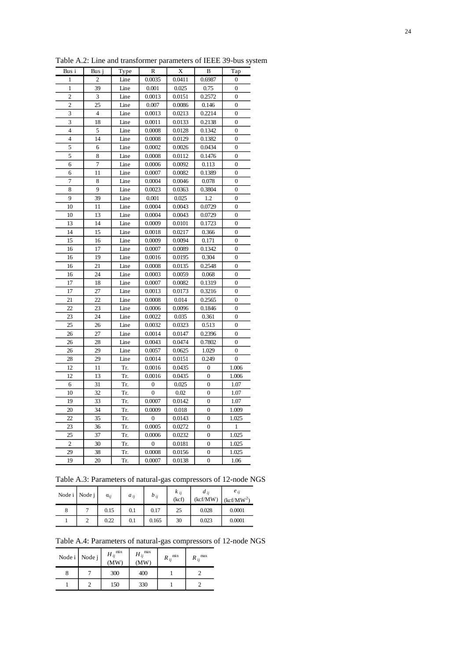| Bus i                    | Bus j | Type | R                | X      | B                | Tap              |
|--------------------------|-------|------|------------------|--------|------------------|------------------|
| 1                        | 2     | Line | 0.0035           | 0.0411 | 0.6987           | 0                |
| $\mathbf{1}$             | 39    | Line | 0.001            | 0.025  | 0.75             | $\mathbf{0}$     |
| 2                        | 3     | Line | 0.0013           | 0.0151 | 0.2572           | $\boldsymbol{0}$ |
| $\overline{c}$           | 25    | Line | 0.007            | 0.0086 | 0.146            | $\mathbf{0}$     |
| 3                        | 4     | Line | 0.0013           | 0.0213 | 0.2214           | $\mathbf{0}$     |
| 3                        | 18    | Line | 0.0011           | 0.0133 | 0.2138           | $\mathbf{0}$     |
| $\overline{\mathbf{4}}$  | 5     | Line | 0.0008           | 0.0128 | 0.1342           | $\theta$         |
| $\overline{\mathcal{L}}$ | 14    | Line | 0.0008           | 0.0129 | 0.1382           | 0                |
| 5                        | 6     | Line | 0.0002           | 0.0026 | 0.0434           | $\mathbf{0}$     |
| 5                        | 8     | Line | 0.0008           | 0.0112 | 0.1476           | $\boldsymbol{0}$ |
| 6                        | 7     | Line | 0.0006           | 0.0092 | 0.113            | $\mathbf{0}$     |
| 6                        | 11    | Line | 0.0007           | 0.0082 | 0.1389           | $\mathbf{0}$     |
| 7                        | 8     | Line | 0.0004           | 0.0046 | 0.078            | $\boldsymbol{0}$ |
| 8                        | 9     | Line | 0.0023           | 0.0363 | 0.3804           | $\mathbf{0}$     |
| 9                        | 39    | Line | 0.001            | 0.025  | 1.2              | 0                |
| 10                       | 11    | Line | 0.0004           | 0.0043 | 0.0729           | $\mathbf{0}$     |
| 10                       | 13    | Line | 0.0004           | 0.0043 | 0.0729           | 0                |
| 13                       | 14    | Line | 0.0009           | 0.0101 | 0.1723           | $\boldsymbol{0}$ |
| 14                       | 15    | Line | 0.0018           | 0.0217 | 0.366            | $\theta$         |
| 15                       | 16    | Line | 0.0009           | 0.0094 | 0.171            | $\boldsymbol{0}$ |
| 16                       | 17    | Line | 0.0007           | 0.0089 | 0.1342           | $\boldsymbol{0}$ |
| 16                       | 19    | Line | 0.0016           | 0.0195 | 0.304            | $\mathbf{0}$     |
| 16                       | 21    | Line | 0.0008           | 0.0135 | 0.2548           | $\boldsymbol{0}$ |
| 16                       | 24    | Line | 0.0003           | 0.0059 | 0.068            | $\mathbf{0}$     |
| 17                       | 18    | Line | 0.0007           | 0.0082 | 0.1319           | 0                |
| 17                       | 27    | Line | 0.0013           | 0.0173 | 0.3216           | 0                |
| 21                       | 22    | Line | 0.0008           | 0.014  | 0.2565           | $\mathbf{0}$     |
| 22                       | 23    | Line | 0.0006           | 0.0096 | 0.1846           | $\boldsymbol{0}$ |
| 23                       | 24    | Line | 0.0022           | 0.035  | 0.361            | $\overline{0}$   |
| 25                       | 26    | Line | 0.0032           | 0.0323 | 0.513            | $\boldsymbol{0}$ |
| 26                       | 27    | Line | 0.0014           | 0.0147 | 0.2396           | 0                |
| 26                       | 28    | Line | 0.0043           | 0.0474 | 0.7802           | $\Omega$         |
| 26                       | 29    | Line | 0.0057           | 0.0625 | 1.029            | $\boldsymbol{0}$ |
| 28                       | 29    | Line | 0.0014           | 0.0151 | 0.249            | $\overline{0}$   |
| 12                       | 11    | Tr.  | 0.0016           | 0.0435 | $\boldsymbol{0}$ | 1.006            |
| 12                       | 13    | Tr.  | 0.0016           | 0.0435 | 0                | 1.006            |
| 6                        | 31    | Tr.  | $\Omega$         | 0.025  | $\mathbf{0}$     | 1.07             |
| 10                       | 32    | Tr.  | $\boldsymbol{0}$ | 0.02   | $\boldsymbol{0}$ | 1.07             |
| 19                       | 33    | Tr.  | 0.0007           | 0.0142 | $\overline{0}$   | 1.07             |
| 20                       | 34    | Tr.  | 0.0009           | 0.018  | $\mathbf{0}$     | 1.009            |
| 22                       | 35    | Tr.  | $\overline{0}$   | 0.0143 | $\boldsymbol{0}$ | 1.025            |
| 23                       | 36    | Tr.  | 0.0005           | 0.0272 | $\boldsymbol{0}$ | 1                |
| 25                       | 37    | Tr.  | 0.0006           | 0.0232 | $\overline{0}$   | 1.025            |
| $\overline{2}$           | 30    | Tr.  | $\boldsymbol{0}$ | 0.0181 | $\boldsymbol{0}$ | 1.025            |
| 29                       | 38    | Tr.  | 0.0008           | 0.0156 | $\mathbf{0}$     | 1.025            |
| 19                       | 20    | Tr.  | 0.0007           | 0.0138 | $\boldsymbol{0}$ | 1.06             |

Table A.2: Line and transformer parameters of IEEE 39-bus system

Table A.3: Parameters of natural-gas compressors of 12-node NGS

| Node i Node i | $\alpha_{ii}$ | $a_{ij}$ | $b_{ij}$ | $k_{ij}$<br>(kcf) | $d_{ii}$<br>(kcf/MW) | $e_{ii}$<br>(kcf/MW <sup>2</sup> ) |
|---------------|---------------|----------|----------|-------------------|----------------------|------------------------------------|
|               | 0.15          | 0.1      | 0.17     | 25                | 0.028                | 0.0001                             |
|               | 0.22          | 0.1      | 0.165    | 30                | 0.023                | 0.0001                             |

Table A.4: Parameters of natural-gas compressors of 12-node NGS

| Node i Node j | $H_{ij}$ <sup>min</sup><br>(MW) | $H_{ij}$ <sup>max</sup><br>(MW) | $R_{ij}$ <sup>min</sup> | $R_{ij}$ <sup>max</sup> |
|---------------|---------------------------------|---------------------------------|-------------------------|-------------------------|
|               | 300                             | 400                             |                         |                         |
|               | 150                             | 330                             |                         |                         |